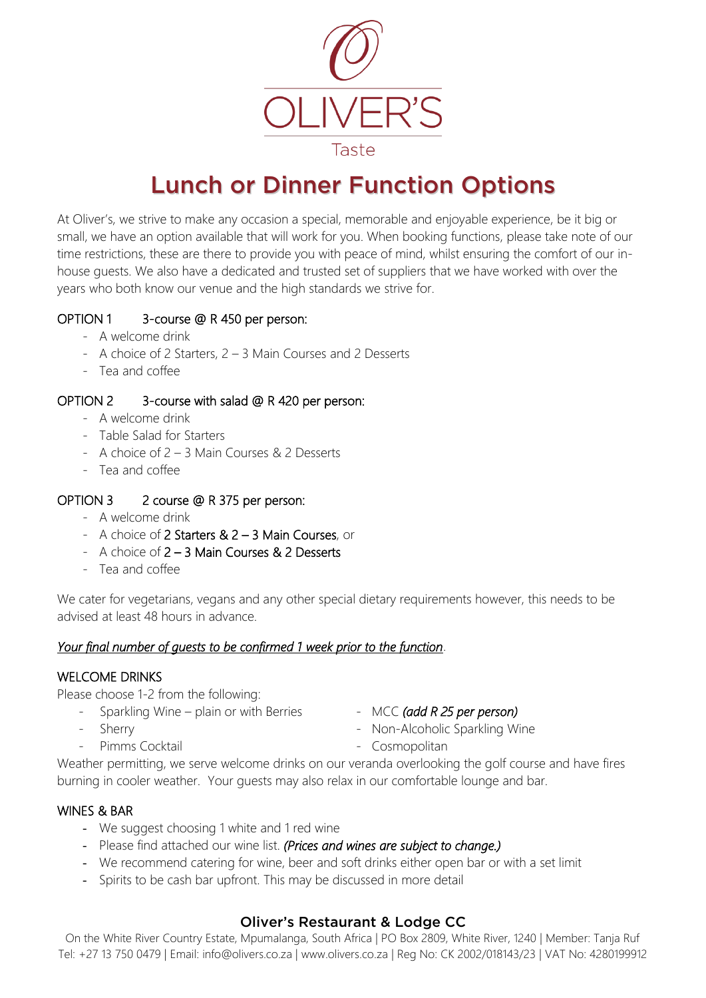

# Lunch or Dinner Function Options

At Oliver's, we strive to make any occasion a special, memorable and enjoyable experience, be it big or small, we have an option available that will work for you. When booking functions, please take note of our time restrictions, these are there to provide you with peace of mind, whilst ensuring the comfort of our inhouse guests. We also have a dedicated and trusted set of suppliers that we have worked with over the years who both know our venue and the high standards we strive for.

# OPTION 1 3-course @ R 450 per person:

- A welcome drink
- A choice of 2 Starters, 2 3 Main Courses and 2 Desserts
- Tea and coffee

## OPTION 2 3-course with salad @ R 420 per person:

- A welcome drink
- Table Salad for Starters
- A choice of 2 3 Main Courses & 2 Desserts
- Tea and coffee

## OPTION 3 2 course @ R 375 per person:

- A welcome drink
- A choice of 2 Starters & 2 3 Main Courses, or
- A choice of 2 3 Main Courses & 2 Desserts
- Tea and coffee

We cater for vegetarians, vegans and any other special dietary requirements however, this needs to be advised at least 48 hours in advance.

## *Your final number of guests to be confirmed 1 week prior to the function*.

#### WELCOME DRINKS

Please choose 1-2 from the following:

- Sparkling Wine plain or with Berries MCC *(add R 25 per person)*
- 
- 
- Sherry  **Non-Alcoholic Sparkling Wine**
- 
- Pimms Cocktail **Figure 2018** Cosmopolitan

Weather permitting, we serve welcome drinks on our veranda overlooking the golf course and have fires burning in cooler weather. Your guests may also relax in our comfortable lounge and bar.

## WINES & BAR

- We suggest choosing 1 white and 1 red wine
- Please find attached our wine list. *(Prices and wines are subject to change.)*
- We recommend catering for wine, beer and soft drinks either open bar or with a set limit
- Spirits to be cash bar upfront. This may be discussed in more detail

# Oliver's Restaurant & Lodge CC

On the White River Country Estate, Mpumalanga, South Africa | PO Box 2809, White River, 1240 | Member: Tanja Ruf Tel: +27 13 750 0479 | Email: info@olivers.co.za | www.olivers.co.za | Reg No: CK 2002/018143/23 | VAT No: 4280199912